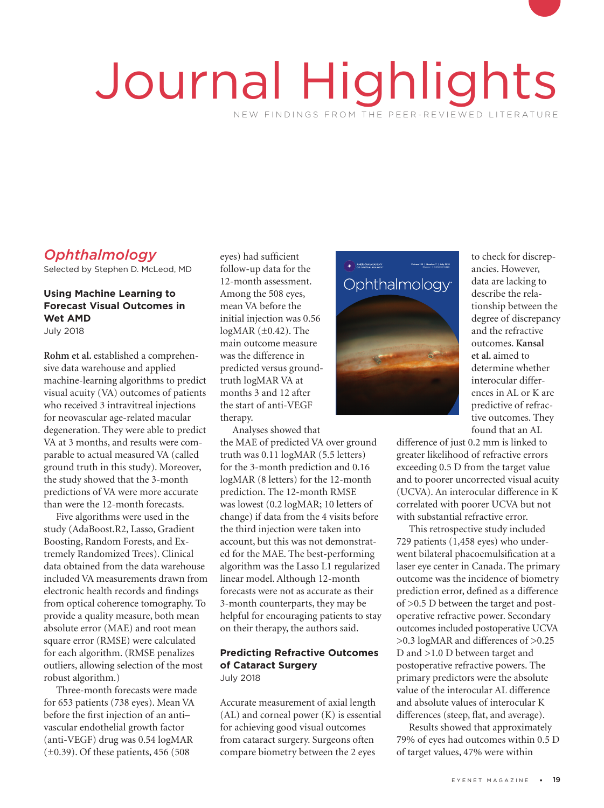# Journal Highlights NEW FINDINGS FROM THE PEER-REVIEWED LITERATURE

# *Ophthalmology*

Selected by Stephen D. McLeod, MD

## **Using Machine Learning to Forecast Visual Outcomes in Wet AMD**

July 2018

**Rohm et al.** established a comprehensive data warehouse and applied machine-learning algorithms to predict visual acuity (VA) outcomes of patients who received 3 intravitreal injections for neovascular age-related macular degeneration. They were able to predict VA at 3 months, and results were comparable to actual measured VA (called ground truth in this study). Moreover, the study showed that the 3-month predictions of VA were more accurate than were the 12-month forecasts.

Five algorithms were used in the study (AdaBoost.R2, Lasso, Gradient Boosting, Random Forests, and Extremely Randomized Trees). Clinical data obtained from the data warehouse included VA measurements drawn from electronic health records and findings from optical coherence tomography. To provide a quality measure, both mean absolute error (MAE) and root mean square error (RMSE) were calculated for each algorithm. (RMSE penalizes outliers, allowing selection of the most robust algorithm.)

Three-month forecasts were made for 653 patients (738 eyes). Mean VA before the first injection of an anti– vascular endothelial growth factor (anti-VEGF) drug was 0.54 logMAR  $(\pm 0.39)$ . Of these patients, 456 (508)

eyes) had sufficient follow-up data for the 12-month assessment. Among the 508 eyes, mean VA before the initial injection was 0.56 logMAR (±0.42). The main outcome measure was the difference in predicted versus groundtruth logMAR VA at months 3 and 12 after the start of anti-VEGF njection w<br>R (±0.42).<br>difference

Analyses showed that the MAE of predicted VA over ground truth was 0.11 logMAR (5.5 letters) for the 3-month prediction and 0.16 logMAR (8 letters) for the 12-month prediction. The 12-month RMSE was lowest (0.2 logMAR; 10 letters of change) if data from the 4 visits before the third injection were taken into account, but this was not demonstrated for the MAE. The best-performing algorithm was the Lasso L1 regularized linear model. Although 12-month forecasts were not as accurate as their 3-month counterparts, they may be helpful for encouraging patients to stay on their therapy, the authors said.

#### **Predicting Refractive Outcomes of Cataract Surgery** July 2018

Accurate measurement of axial length (AL) and corneal power (K) is essential for achieving good visual outcomes from cataract surgery. Surgeons often compare biometry between the 2 eyes



to check for discrepancies. However, data are lacking to describe the relationship between the degree of discrepancy and the refractive outcomes. **Kansal et al.** aimed to determine whether interocular differences in AL or K are predictive of refractive outcomes. They found that an AL

difference of just 0.2 mm is linked to greater likelihood of refractive errors exceeding 0.5 D from the target value and to poorer uncorrected visual acuity (UCVA). An interocular difference in K correlated with poorer UCVA but not with substantial refractive error.

This retrospective study included 729 patients (1,458 eyes) who underwent bilateral phacoemulsification at a laser eye center in Canada. The primary outcome was the incidence of biometry prediction error, defined as a difference of >0.5 D between the target and postoperative refractive power. Secondary outcomes included postoperative UCVA >0.3 logMAR and differences of >0.25 D and >1.0 D between target and postoperative refractive powers. The primary predictors were the absolute value of the interocular AL difference and absolute values of interocular K differences (steep, flat, and average).

Results showed that approximately 79% of eyes had outcomes within 0.5 D of target values, 47% were within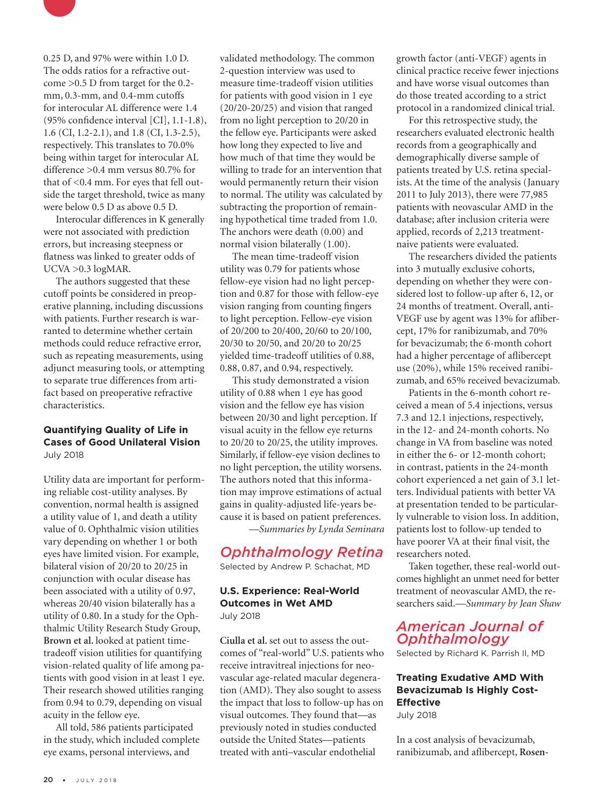

0.25 D, and 97% were within 1.0 D. The odds ratios for a refractive outcome >0.5 D from target for the 0.2mm, 0.3-mm, and 0.4-mm cutoffs for interocular AL difference were 1.4 (95% confidence interval [CI], 1.1-1.8), 1.6 (CI, 1.2-2.1), and 1.8 (CI, 1.3-2.5), respectively. This translates to 70.0% being within target for interocular AL difference >0.4 mm versus 80.7% for that of <0.4 mm. For eyes that fell outside the target threshold, twice as many were below 0.5 D as above 0.5 D.

Interocular differences in K generally were not associated with prediction errors, but increasing steepness or flatness was linked to greater odds of UCVA >0.3 logMAR.

The authors suggested that these cutoff points be considered in preoperative planning, including discussions with patients. Further research is warranted to determine whether certain methods could reduce refractive error, such as repeating measurements, using adjunct measuring tools, or attempting to separate true differences from artifact based on preoperative refractive characteristics.

#### **Quantifying Quality of Life in Cases of Good Unilateral Vision**  July 2018

Utility data are important for performing reliable cost-utility analyses. By convention, normal health is assigned a utility value of 1, and death a utility value of 0. Ophthalmic vision utilities vary depending on whether 1 or both eyes have limited vision. For example, bilateral vision of 20/20 to 20/25 in conjunction with ocular disease has been associated with a utility of 0.97, whereas 20/40 vision bilaterally has a utility of 0.80. In a study for the Ophthalmic Utility Research Study Group, **Brown et al.** looked at patient timetradeoff vision utilities for quantifying vision-related quality of life among patients with good vision in at least 1 eye. Their research showed utilities ranging from 0.94 to 0.79, depending on visual acuity in the fellow eye.

All told, 586 patients participated in the study, which included complete eye exams, personal interviews, and

validated methodology. The common 2-question interview was used to measure time-tradeoff vision utilities for patients with good vision in 1 eye (20/20-20/25) and vision that ranged from no light perception to 20/20 in the fellow eye. Participants were asked how long they expected to live and how much of that time they would be willing to trade for an intervention that would permanently return their vision to normal. The utility was calculated by subtracting the proportion of remaining hypothetical time traded from 1.0. The anchors were death (0.00) and normal vision bilaterally (1.00).

The mean time-tradeoff vision utility was 0.79 for patients whose fellow-eye vision had no light perception and 0.87 for those with fellow-eye vision ranging from counting fingers to light perception. Fellow-eye vision of 20/200 to 20/400, 20/60 to 20/100, 20/30 to 20/50, and 20/20 to 20/25 yielded time-tradeoff utilities of 0.88, 0.88, 0.87, and 0.94, respectively.

This study demonstrated a vision utility of 0.88 when 1 eye has good vision and the fellow eye has vision between 20/30 and light perception. If visual acuity in the fellow eye returns to 20/20 to 20/25, the utility improves. Similarly, if fellow-eye vision declines to no light perception, the utility worsens. The authors noted that this information may improve estimations of actual gains in quality-adjusted life-years because it is based on patient preferences.

*—Summaries by Lynda Seminara*

## *Ophthalmology Retina*

Selected by Andrew P. Schachat, MD

#### **U.S. Experience: Real-World Outcomes in Wet AMD** July 2018

**Ciulla et al.** set out to assess the outcomes of "real-world" U.S. patients who receive intravitreal injections for neovascular age-related macular degeneration (AMD). They also sought to assess the impact that loss to follow-up has on visual outcomes. They found that—as previously noted in studies conducted outside the United States—patients treated with anti–vascular endothelial

growth factor (anti-VEGF) agents in clinical practice receive fewer injections and have worse visual outcomes than do those treated according to a strict protocol in a randomized clinical trial.

For this retrospective study, the researchers evaluated electronic health records from a geographically and demographically diverse sample of patients treated by U.S. retina specialists. At the time of the analysis (January 2011 to July 2013), there were 77,985 patients with neovascular AMD in the database; after inclusion criteria were applied, records of 2,213 treatmentnaive patients were evaluated.

The researchers divided the patients into 3 mutually exclusive cohorts, depending on whether they were considered lost to follow-up after 6, 12, or 24 months of treatment. Overall, anti-VEGF use by agent was 13% for aflibercept, 17% for ranibizumab, and 70% for bevacizumab; the 6-month cohort had a higher percentage of aflibercept use (20%), while 15% received ranibizumab, and 65% received bevacizumab.

Patients in the 6-month cohort received a mean of 5.4 injections, versus 7.3 and 12.1 injections, respectively, in the 12- and 24-month cohorts. No change in VA from baseline was noted in either the 6- or 12-month cohort; in contrast, patients in the 24-month cohort experienced a net gain of 3.1 letters. Individual patients with better VA at presentation tended to be particularly vulnerable to vision loss. In addition, patients lost to follow-up tended to have poorer VA at their final visit, the researchers noted.

Taken together, these real-world outcomes highlight an unmet need for better treatment of neovascular AMD, the researchers said.*—Summary by Jean Shaw*

## *American Journal of Ophthalmology*

Selected by Richard K. Parrish II, MD

### **Treating Exudative AMD With Bevacizumab Is Highly Cost-Effective**

July 2018

In a cost analysis of bevacizumab, ranibizumab, and aflibercept, **Rosen-**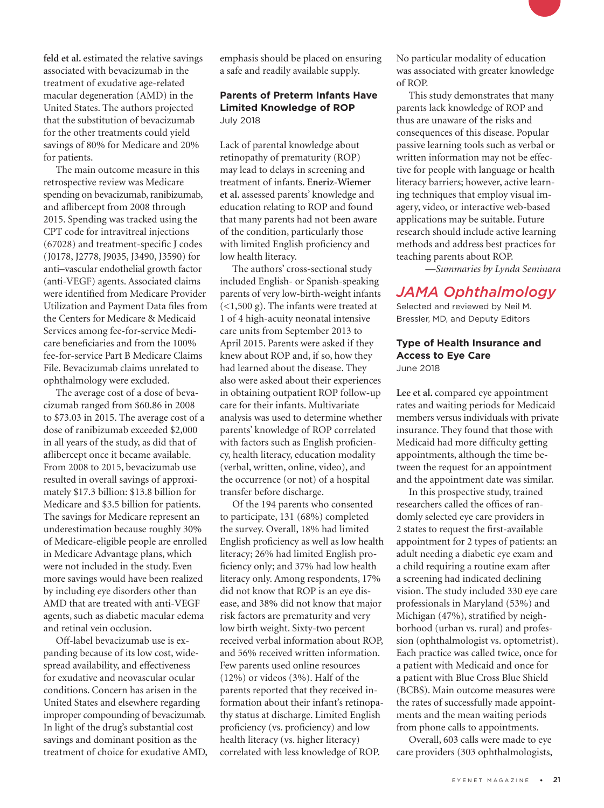**feld et al.** estimated the relative savings associated with bevacizumab in the treatment of exudative age-related macular degeneration (AMD) in the United States. The authors projected that the substitution of bevacizumab for the other treatments could yield savings of 80% for Medicare and 20% for patients.

The main outcome measure in this retrospective review was Medicare spending on bevacizumab, ranibizumab, and aflibercept from 2008 through 2015. Spending was tracked using the CPT code for intravitreal injections (67028) and treatment-specific J codes (J0178, J2778, J9035, J3490, J3590) for anti–vascular endothelial growth factor (anti-VEGF) agents. Associated claims were identified from Medicare Provider Utilization and Payment Data files from the Centers for Medicare & Medicaid Services among fee-for-service Medicare beneficiaries and from the 100% fee-for-service Part B Medicare Claims File. Bevacizumab claims unrelated to ophthalmology were excluded.

The average cost of a dose of bevacizumab ranged from \$60.86 in 2008 to \$73.03 in 2015. The average cost of a dose of ranibizumab exceeded \$2,000 in all years of the study, as did that of aflibercept once it became available. From 2008 to 2015, bevacizumab use resulted in overall savings of approximately \$17.3 billion: \$13.8 billion for Medicare and \$3.5 billion for patients. The savings for Medicare represent an underestimation because roughly 30% of Medicare-eligible people are enrolled in Medicare Advantage plans, which were not included in the study. Even more savings would have been realized by including eye disorders other than AMD that are treated with anti-VEGF agents, such as diabetic macular edema and retinal vein occlusion.

Off-label bevacizumab use is expanding because of its low cost, widespread availability, and effectiveness for exudative and neovascular ocular conditions. Concern has arisen in the United States and elsewhere regarding improper compounding of bevacizumab. In light of the drug's substantial cost savings and dominant position as the treatment of choice for exudative AMD, emphasis should be placed on ensuring a safe and readily available supply.

#### **Parents of Preterm Infants Have Limited Knowledge of ROP** July 2018

Lack of parental knowledge about retinopathy of prematurity (ROP) may lead to delays in screening and treatment of infants. **Eneriz-Wiemer et al.** assessed parents' knowledge and education relating to ROP and found that many parents had not been aware of the condition, particularly those with limited English proficiency and low health literacy.

The authors' cross-sectional study included English- or Spanish-speaking parents of very low-birth-weight infants (<1,500 g). The infants were treated at 1 of 4 high-acuity neonatal intensive care units from September 2013 to April 2015. Parents were asked if they knew about ROP and, if so, how they had learned about the disease. They also were asked about their experiences in obtaining outpatient ROP follow-up care for their infants. Multivariate analysis was used to determine whether parents' knowledge of ROP correlated with factors such as English proficiency, health literacy, education modality (verbal, written, online, video), and the occurrence (or not) of a hospital transfer before discharge.

Of the 194 parents who consented to participate, 131 (68%) completed the survey. Overall, 18% had limited English proficiency as well as low health literacy; 26% had limited English proficiency only; and 37% had low health literacy only. Among respondents, 17% did not know that ROP is an eye disease, and 38% did not know that major risk factors are prematurity and very low birth weight. Sixty-two percent received verbal information about ROP, and 56% received written information. Few parents used online resources (12%) or videos (3%). Half of the parents reported that they received information about their infant's retinopathy status at discharge. Limited English proficiency (vs. proficiency) and low health literacy (vs. higher literacy) correlated with less knowledge of ROP.

No particular modality of education was associated with greater knowledge of ROP.

This study demonstrates that many parents lack knowledge of ROP and thus are unaware of the risks and consequences of this disease. Popular passive learning tools such as verbal or written information may not be effective for people with language or health literacy barriers; however, active learning techniques that employ visual imagery, video, or interactive web-based applications may be suitable. Future research should include active learning methods and address best practices for teaching parents about ROP.

*—Summaries by Lynda Seminara*

## *JAMA Ophthalmology*

Selected and reviewed by Neil M. Bressler, MD, and Deputy Editors

# **Type of Health Insurance and Access to Eye Care**

June 2018

**Lee et al.** compared eye appointment rates and waiting periods for Medicaid members versus individuals with private insurance. They found that those with Medicaid had more difficulty getting appointments, although the time between the request for an appointment and the appointment date was similar.

In this prospective study, trained researchers called the offices of randomly selected eye care providers in 2 states to request the first-available appointment for 2 types of patients: an adult needing a diabetic eye exam and a child requiring a routine exam after a screening had indicated declining vision. The study included 330 eye care professionals in Maryland (53%) and Michigan (47%), stratified by neighborhood (urban vs. rural) and profession (ophthalmologist vs. optometrist). Each practice was called twice, once for a patient with Medicaid and once for a patient with Blue Cross Blue Shield (BCBS). Main outcome measures were the rates of successfully made appointments and the mean waiting periods from phone calls to appointments.

Overall, 603 calls were made to eye care providers (303 ophthalmologists,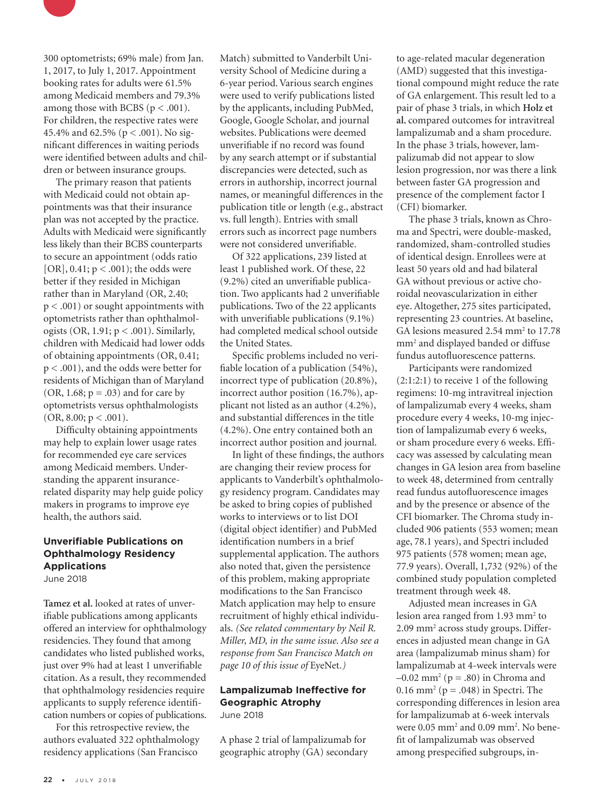

300 optometrists; 69% male) from Jan. 1, 2017, to July 1, 2017. Appointment booking rates for adults were 61.5% among Medicaid members and 79.3% among those with BCBS ( $p < .001$ ). For children, the respective rates were 45.4% and 62.5% (p < .001). No significant differences in waiting periods were identified between adults and children or between insurance groups.

The primary reason that patients with Medicaid could not obtain appointments was that their insurance plan was not accepted by the practice. Adults with Medicaid were significantly less likely than their BCBS counterparts to secure an appointment (odds ratio [OR], 0.41; p < .001); the odds were better if they resided in Michigan rather than in Maryland (OR, 2.40; p < .001) or sought appointments with optometrists rather than ophthalmologists (OR, 1.91; p < .001). Similarly, children with Medicaid had lower odds of obtaining appointments (OR, 0.41; p < .001), and the odds were better for residents of Michigan than of Maryland (OR, 1.68;  $p = .03$ ) and for care by optometrists versus ophthalmologists  $(OR, 8.00; p < .001).$ 

Difficulty obtaining appointments may help to explain lower usage rates for recommended eye care services among Medicaid members. Understanding the apparent insurancerelated disparity may help guide policy makers in programs to improve eye health, the authors said.

## **Unverifiable Publications on Ophthalmology Residency Applications**

June 2018

**Tamez et al.** looked at rates of unverifiable publications among applicants offered an interview for ophthalmology residencies. They found that among candidates who listed published works, just over 9% had at least 1 unverifiable citation. As a result, they recommended that ophthalmology residencies require applicants to supply reference identification numbers or copies of publications.

For this retrospective review, the authors evaluated 322 ophthalmology residency applications (San Francisco

Match) submitted to Vanderbilt University School of Medicine during a 6-year period. Various search engines were used to verify publications listed by the applicants, including PubMed, Google, Google Scholar, and journal websites. Publications were deemed unverifiable if no record was found by any search attempt or if substantial discrepancies were detected, such as errors in authorship, incorrect journal names, or meaningful differences in the publication title or length (e.g., abstract vs. full length). Entries with small errors such as incorrect page numbers were not considered unverifiable.

Of 322 applications, 239 listed at least 1 published work. Of these, 22 (9.2%) cited an unverifiable publication. Two applicants had 2 unverifiable publications. Two of the 22 applicants with unverifiable publications (9.1%) had completed medical school outside the United States.

Specific problems included no verifiable location of a publication (54%), incorrect type of publication (20.8%), incorrect author position (16.7%), applicant not listed as an author (4.2%), and substantial differences in the title (4.2%). One entry contained both an incorrect author position and journal.

In light of these findings, the authors are changing their review process for applicants to Vanderbilt's ophthalmology residency program. Candidates may be asked to bring copies of published works to interviews or to list DOI (digital object identifier) and PubMed identification numbers in a brief supplemental application. The authors also noted that, given the persistence of this problem, making appropriate modifications to the San Francisco Match application may help to ensure recruitment of highly ethical individuals. *(See related commentary by Neil R. Miller, MD, in the same issue. Also see a response from San Francisco Match on page 10 of this issue of* EyeNet*.)*

#### **Lampalizumab Ineffective for Geographic Atrophy**  June 2018

A phase 2 trial of lampalizumab for geographic atrophy (GA) secondary to age-related macular degeneration (AMD) suggested that this investigational compound might reduce the rate of GA enlargement. This result led to a pair of phase 3 trials, in which **Holz et al.** compared outcomes for intravitreal lampalizumab and a sham procedure. In the phase 3 trials, however, lampalizumab did not appear to slow lesion progression, nor was there a link between faster GA progression and presence of the complement factor I (CFI) biomarker.

The phase 3 trials, known as Chroma and Spectri, were double-masked, randomized, sham-controlled studies of identical design. Enrollees were at least 50 years old and had bilateral GA without previous or active choroidal neovascularization in either eye. Altogether, 275 sites participated, representing 23 countries. At baseline, GA lesions measured 2.54 mm<sup>2</sup> to 17.78 mm2 and displayed banded or diffuse fundus autofluorescence patterns.

Participants were randomized (2:1:2:1) to receive 1 of the following regimens: 10-mg intravitreal injection of lampalizumab every 4 weeks, sham procedure every 4 weeks, 10-mg injection of lampalizumab every 6 weeks, or sham procedure every 6 weeks. Efficacy was assessed by calculating mean changes in GA lesion area from baseline to week 48, determined from centrally read fundus autofluorescence images and by the presence or absence of the CFI biomarker. The Chroma study included 906 patients (553 women; mean age, 78.1 years), and Spectri included 975 patients (578 women; mean age, 77.9 years). Overall, 1,732 (92%) of the combined study population completed treatment through week 48.

Adjusted mean increases in GA lesion area ranged from 1.93 mm<sup>2</sup> to 2.09 mm<sup>2</sup> across study groups. Differences in adjusted mean change in GA area (lampalizumab minus sham) for lampalizumab at 4-week intervals were  $-0.02$  mm<sup>2</sup> ( $p = .80$ ) in Chroma and 0.16 mm<sup>2</sup> ( $p = .048$ ) in Spectri. The corresponding differences in lesion area for lampalizumab at 6-week intervals were 0.05 mm<sup>2</sup> and 0.09 mm<sup>2</sup>. No benefit of lampalizumab was observed among prespecified subgroups, in